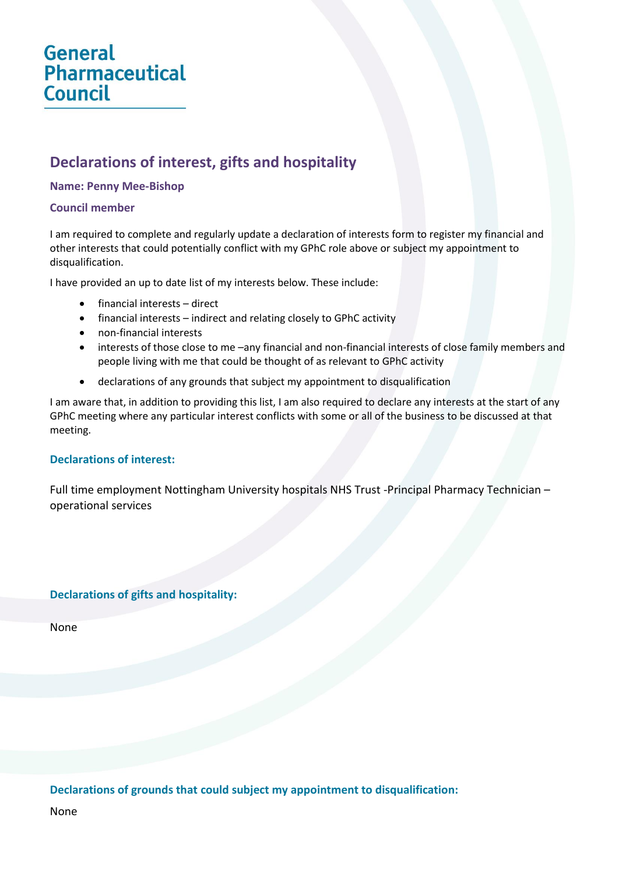# **General** Pharmaceutical **Council**

# **Declarations of interest, gifts and hospitality**

#### **Name: Penny Mee-Bishop**

#### **Council member**

I am required to complete and regularly update a declaration of interests form to register my financial and other interests that could potentially conflict with my GPhC role above or subject my appointment to disqualification.

I have provided an up to date list of my interests below. These include:

- financial interests direct
- financial interests indirect and relating closely to GPhC activity
- non-financial interests
- interests of those close to me –any financial and non-financial interests of close family members and people living with me that could be thought of as relevant to GPhC activity
- declarations of any grounds that subject my appointment to disqualification

I am aware that, in addition to providing this list, I am also required to declare any interests at the start of any GPhC meeting where any particular interest conflicts with some or all of the business to be discussed at that meeting.

## **Declarations of interest:**

Full time employment Nottingham University hospitals NHS Trust -Principal Pharmacy Technician – operational services

## **Declarations of gifts and hospitality:**

None

**Declarations of grounds that could subject my appointment to disqualification:**

None